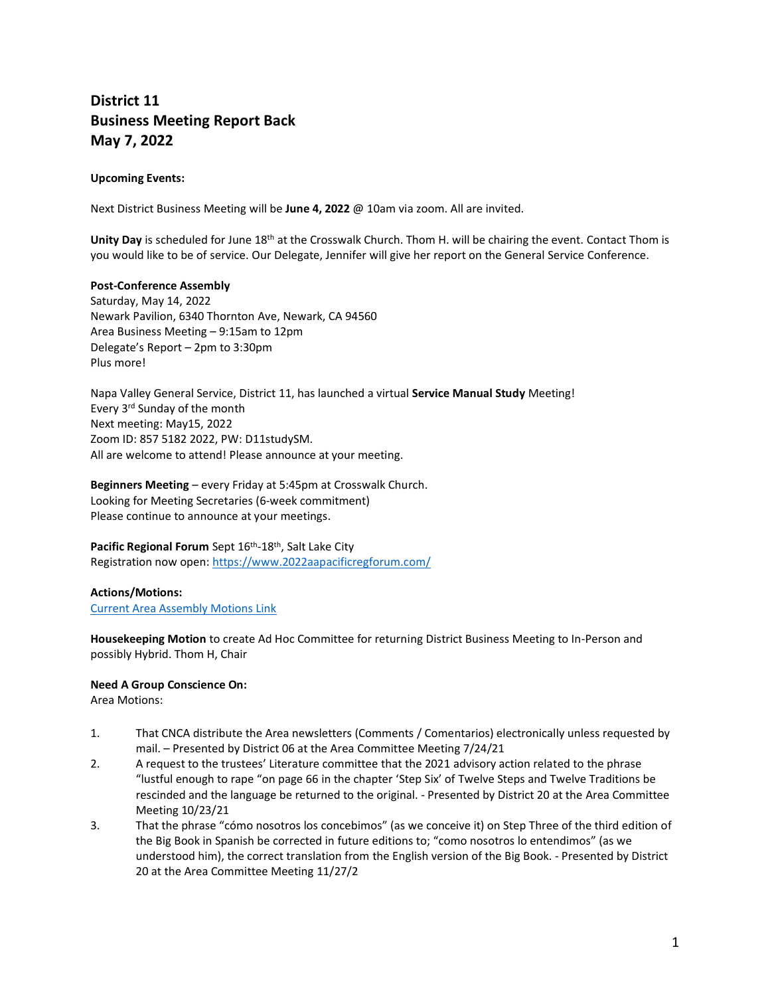# **District 11 Business Meeting Report Back May 7, 2022**

# **Upcoming Events:**

Next District Business Meeting will be **June 4, 2022** @ 10am via zoom. All are invited.

**Unity Day** is scheduled for June 18th at the Crosswalk Church. Thom H. will be chairing the event. Contact Thom is you would like to be of service. Our Delegate, Jennifer will give her report on the General Service Conference.

### **Post-Conference Assembly**

Saturday, May 14, 2022 Newark Pavilion, 6340 Thornton Ave, Newark, CA 94560 Area Business Meeting – 9:15am to 12pm Delegate's Report – 2pm to 3:30pm Plus more!

Napa Valley General Service, District 11, has launched a virtual **Service Manual Study** Meeting! Every 3rd Sunday of the month Next meeting: May15, 2022 Zoom ID: 857 5182 2022, PW: D11studySM. All are welcome to attend! Please announce at your meeting.

**Beginners Meeting** – every Friday at 5:45pm at Crosswalk Church. Looking for Meeting Secretaries (6-week commitment) Please continue to announce at your meetings.

Pacific Regional Forum Sept 16<sup>th</sup>-18<sup>th</sup>, Salt Lake City Registration now open:<https://www.2022aapacificregforum.com/>

## **Actions/Motions:** [Current Area Assembly Motions Link](https://www.cnca06.org/wp-content/uploads/2022/04/2022_4_Area-Committee-Motions-April-2022.pdf)

**Housekeeping Motion** to create Ad Hoc Committee for returning District Business Meeting to In-Person and possibly Hybrid. Thom H, Chair

### **Need A Group Conscience On:**

Area Motions:

- 1. That CNCA distribute the Area newsletters (Comments / Comentarios) electronically unless requested by mail. – Presented by District 06 at the Area Committee Meeting 7/24/21
- 2. A request to the trustees' Literature committee that the 2021 advisory action related to the phrase "lustful enough to rape "on page 66 in the chapter 'Step Six' of Twelve Steps and Twelve Traditions be rescinded and the language be returned to the original. - Presented by District 20 at the Area Committee Meeting 10/23/21
- 3. That the phrase "cómo nosotros los concebimos" (as we conceive it) on Step Three of the third edition of the Big Book in Spanish be corrected in future editions to; "como nosotros lo entendimos" (as we understood him), the correct translation from the English version of the Big Book. - Presented by District 20 at the Area Committee Meeting 11/27/2